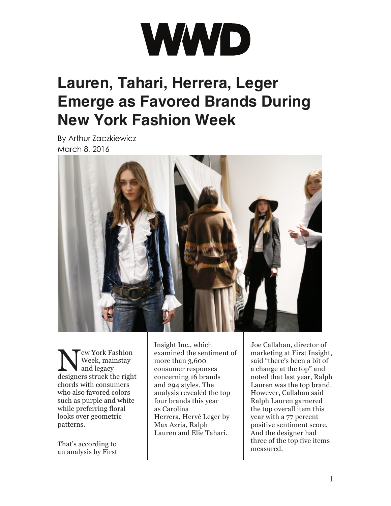

## **Lauren, Tahari, Herrera, Leger Emerge as Favored Brands During New York Fashion Week**

By Arthur Zaczkiewicz March 8, 2016



ew York Fashion Week, mainstay and legacy Week, mainstay<br>designers struck the right chords with consumers who also favored colors such as purple and white while preferring floral looks over geometric patterns.

That's according to an [analysis](http://wwd.com/business-news/forecasts-analysis/consumer-testing-red-trend-10374290/) by First [Insight](http://wwd.com/business-news/forecasts-analysis/consumer-testing-red-trend-10374290/) Inc., which examined the sentiment of more than 3,600 consumer responses concerning 16 brands and 294 styles. The analysis revealed the top four brands this year as [Carolina](http://wwd.com/fashion-news/fashion-scoops/carolina-herrera-creative-director-herve-pierre-exits-10358143/) [Herrera](http://wwd.com/fashion-news/fashion-scoops/carolina-herrera-creative-director-herve-pierre-exits-10358143/), [Hervé](http://wwd.com/runway/pre-fall-2016/new-york/herve-leger-by-max-azria/review/) Leger by Max [Azria](http://wwd.com/runway/pre-fall-2016/new-york/herve-leger-by-max-azria/review/), [Ralph](http://wwd.com/tag/ralph-lauren-2/) [Lauren](http://wwd.com/tag/ralph-lauren-2/) and Elie Tahari.

Joe Callahan, director of marketing at First Insight, said "there's been a bit of a change at the top" and noted that last year, [Ralph](http://wwd.com/eye/parties/oscars-2016-red-carpet-arrivals-academy-awards-brie-larson-cate-blanchett-alicia-vikander-10373840/) [Lauren](http://wwd.com/eye/parties/oscars-2016-red-carpet-arrivals-academy-awards-brie-larson-cate-blanchett-alicia-vikander-10373840/) was the top brand. However, Callahan said Ralph Lauren garnered the top overall item this year with a 77 percent positive sentiment score. And the designer had three of the top five items measured.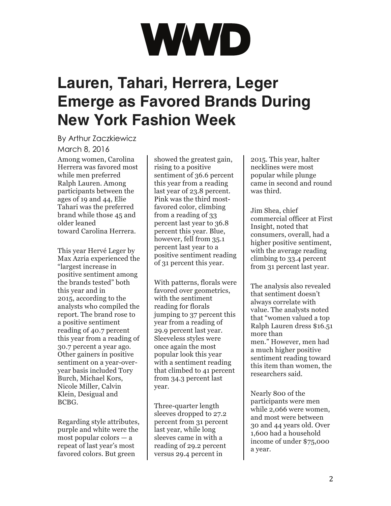## WWD

## **Lauren, Tahari, Herrera, Leger Emerge as Favored Brands During New York Fashion Week**

By Arthur Zaczkiewicz March 8, 2016 Among women, [Carolina](http://wwd.com/tag/carolina-herrera/) [Herrera](http://wwd.com/tag/carolina-herrera/) was favored most while men preferred Ralph Lauren. Among participants between the ages of 19 and 44, Elie Tahari was the preferred brand while those 45 and older leaned toward [Carolina](http://wwd.com/media-news/fashion-memopad/gwyneth-paltrow-drew-barrymore-marie-claire-jetblue-10384315/) Herrera.

This year Hervé Leger by Max Azria experienced the "largest increase in positive sentiment among the brands tested" both this year and in 2015, according to the analysts who compiled the report. The brand rose to a positive sentiment reading of 40.7 percent this year from a reading of 30.7 percent a year ago. Other gainers in positive sentiment on a year-overyear basis included Tory Burch, Michael Kors, Nicole Miller, Calvin Klein, Desigual and BCBG.

Regarding style attributes, purple and white were the most popular colors — a repeat of last year's most favored colors. But green

showed the greatest gain, rising to a positive sentiment of 36.6 percent this year from a reading last year of 23.8 percent. Pink was the third mostfavored color, climbing from a reading of 33 percent last year to 36.8 percent this year. Blue, however, fell from 35.1 percent last year to a positive sentiment reading of 31 percent this year.

With patterns, florals were favored over geometrics, with the sentiment reading for florals jumping to 37 percent this year from a reading of 29.9 percent last year. Sleeveless styles were once again the most popular look this year with a sentiment reading that climbed to 41 percent from 34.3 percent last year.

Three-quarter length sleeves dropped to 27.2 percent from 31 percent last year, while long sleeves came in with a reading of 29.2 percent versus 29.4 percent in

2015. This year, halter necklines were most popular while plunge came in second and round was third.

Jim Shea, chief commercial officer at First Insight, noted that consumers, overall, had a higher positive sentiment, with the average reading climbing to 33.4 percent from 31 percent last year.

The analysis also revealed that sentiment doesn't always correlate with value. The analysts noted that "women valued a top Ralph Lauren dress \$16.51 more than men." However, men had a much higher positive sentiment reading toward this item than women, the researchers said.

Nearly 800 of the participants were men while 2,066 were women, and most were between 30 and 44 years old. Over 1,600 had a household income of under \$75,000 a year.